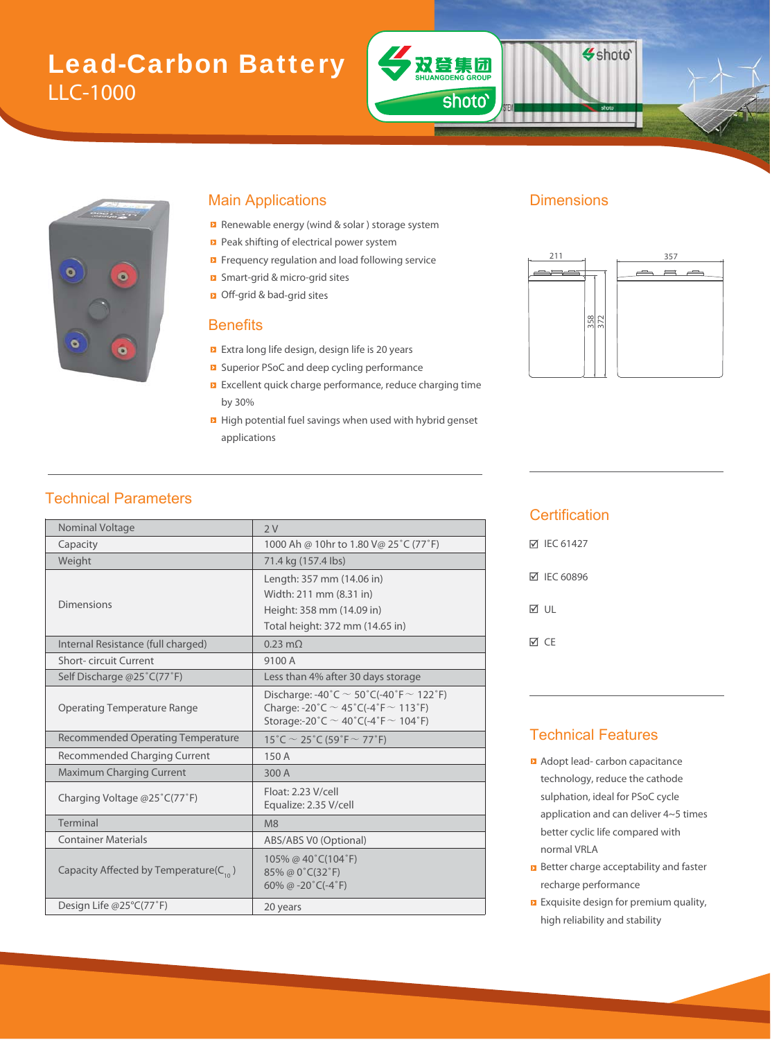# Lead-Carbon Battery LLC-1000



#### Main Applications **Dimensions**

- Renewable energy (wind & solar ) storage system
- Peak shifting of electrical power system
- Frequency regulation and load following service
- Smart-grid & micro-grid sites & m
- Off-grid & bad-grid sites bad

#### **Benefits**

- Extra long life design, design life is 20 years
- Superior PSoC and deep cycling performance PSoC
- Excellent quick charge performance, reduce charging time by 30%
- **High potential fuel savings when used with hybrid genset** applications

双登集团

**ANG** 

shoto'

Shoto'



### Technical Parameters

| Nominal Voltage                              | 2V                                                                                                                                               |  |  |  |
|----------------------------------------------|--------------------------------------------------------------------------------------------------------------------------------------------------|--|--|--|
| Capacity                                     | 1000 Ah @ 10hr to 1.80 V@ 25°C (77°F)                                                                                                            |  |  |  |
| Weight                                       | 71.4 kg (157.4 lbs)                                                                                                                              |  |  |  |
| Dimensions                                   | Length: 357 mm (14.06 in)<br>Width: 211 mm (8.31 in)<br>Height: 358 mm (14.09 in)<br>Total height: 372 mm (14.65 in)                             |  |  |  |
| Internal Resistance (full charged)           | $0.23 \text{ m}\Omega$                                                                                                                           |  |  |  |
| <b>Short-circuit Current</b>                 | 9100 A                                                                                                                                           |  |  |  |
| Self Discharge @25°C(77°F)                   | Less than 4% after 30 days storage                                                                                                               |  |  |  |
| <b>Operating Temperature Range</b>           | Discharge: -40°C $\sim$ 50°C(-40°F $\sim$ 122°F)<br>Charge: -20°C $\sim$ 45°C(-4°F $\sim$ 113°F)<br>Storage:-20°C $\sim$ 40°C(-4°F $\sim$ 104°F) |  |  |  |
| <b>Recommended Operating Temperature</b>     | $15^{\circ}$ C $\sim$ 25 $^{\circ}$ C (59 $^{\circ}$ F $\sim$ 77 $^{\circ}$ F)                                                                   |  |  |  |
| <b>Recommended Charging Current</b>          | 150A                                                                                                                                             |  |  |  |
| <b>Maximum Charging Current</b>              | 300 A                                                                                                                                            |  |  |  |
| Charging Voltage @25°C(77°F)                 | Float: 2.23 V/cell<br>Equalize: 2.35 V/cell                                                                                                      |  |  |  |
| Terminal                                     | M8                                                                                                                                               |  |  |  |
| <b>Container Materials</b>                   | ABS/ABS V0 (Optional)                                                                                                                            |  |  |  |
| Capacity Affected by Temperature( $C_{10}$ ) | 105% @ 40°C(104°F)<br>85% @ 0°C(32°F)<br>60% @ -20 $°C$ (-4 $°F$ )                                                                               |  |  |  |
| Design Life @25°C(77°F)                      | 20 years                                                                                                                                         |  |  |  |

#### **Certification**

| <b>⊠ IEC 61427</b> |
|--------------------|
| <b>⊠ IEC 60896</b> |
| ⊠ ∪L               |
| ⊠ CF               |

#### Technical Features

- **Adopt lead- carbon capacitance** technology, reduce the cathode sulphation, ideal for PSoC cycle application and can deliver 4~5 times better cyclic life compared with normal VRLA
- **B** Better charge acceptability and faster recharge performance
- **Exquisite design for premium quality,** high reliability and stability